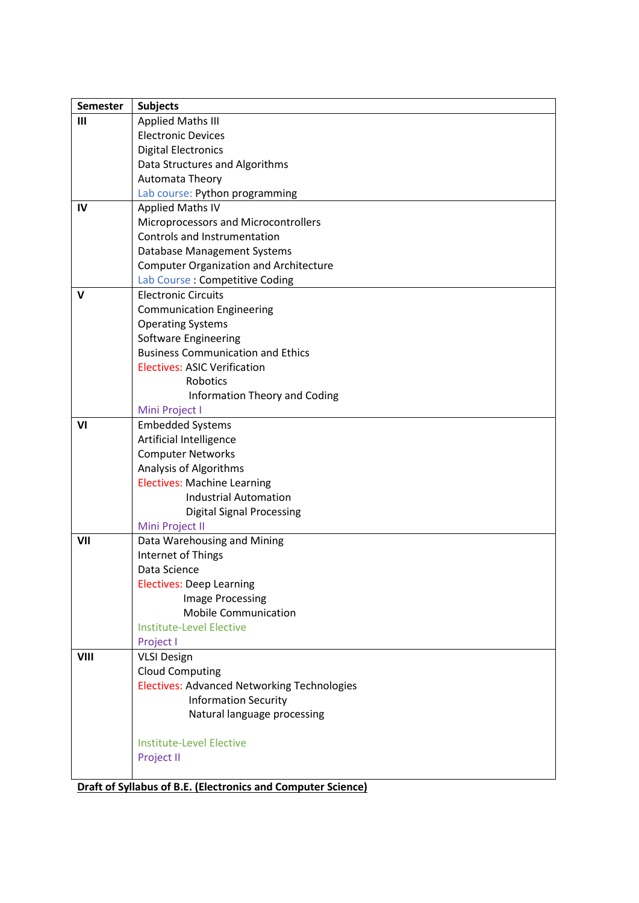| <b>Semester</b> | <b>Subjects</b>                                    |
|-----------------|----------------------------------------------------|
| Ш               | <b>Applied Maths III</b>                           |
|                 | <b>Electronic Devices</b>                          |
|                 | <b>Digital Electronics</b>                         |
|                 | Data Structures and Algorithms                     |
|                 | Automata Theory                                    |
|                 | Lab course: Python programming                     |
| IV              | <b>Applied Maths IV</b>                            |
|                 | Microprocessors and Microcontrollers               |
|                 | <b>Controls and Instrumentation</b>                |
|                 | Database Management Systems                        |
|                 | <b>Computer Organization and Architecture</b>      |
|                 | Lab Course : Competitive Coding                    |
| v               | <b>Electronic Circuits</b>                         |
|                 |                                                    |
|                 | <b>Communication Engineering</b>                   |
|                 | <b>Operating Systems</b>                           |
|                 | Software Engineering                               |
|                 | <b>Business Communication and Ethics</b>           |
|                 | <b>Electives: ASIC Verification</b>                |
|                 | Robotics                                           |
|                 | Information Theory and Coding                      |
|                 | Mini Project I                                     |
| V <sub>1</sub>  | <b>Embedded Systems</b>                            |
|                 | Artificial Intelligence                            |
|                 | <b>Computer Networks</b>                           |
|                 | Analysis of Algorithms                             |
|                 | <b>Electives: Machine Learning</b>                 |
|                 | <b>Industrial Automation</b>                       |
|                 | <b>Digital Signal Processing</b>                   |
|                 | Mini Project II                                    |
| VII             | Data Warehousing and Mining                        |
|                 | Internet of Things                                 |
|                 | Data Science                                       |
|                 | <b>Electives: Deep Learning</b>                    |
|                 | <b>Image Processing</b>                            |
|                 | <b>Mobile Communication</b>                        |
|                 | <b>Institute-Level Elective</b>                    |
|                 | Project I                                          |
| VIII            | <b>VLSI Design</b>                                 |
|                 | <b>Cloud Computing</b>                             |
|                 | <b>Electives: Advanced Networking Technologies</b> |
|                 | <b>Information Security</b>                        |
|                 | Natural language processing                        |
|                 |                                                    |
|                 | <b>Institute-Level Elective</b>                    |
|                 | Project II                                         |
|                 |                                                    |

**Draft of Syllabus of B.E. (Electronics and Computer Science)**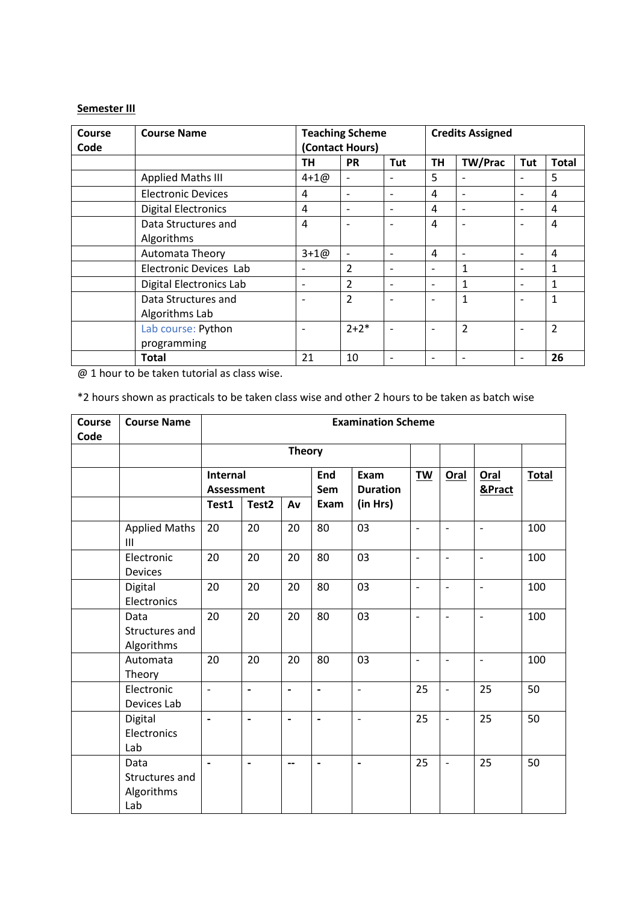### **Semester III**

| Course<br>Code | <b>Course Name</b>         |           | <b>Teaching Scheme</b><br>(Contact Hours) | <b>Credits Assigned</b>  |                 |                          |                          |                |
|----------------|----------------------------|-----------|-------------------------------------------|--------------------------|-----------------|--------------------------|--------------------------|----------------|
|                |                            | TН        | <b>PR</b>                                 | Tut                      | TН              | <b>TW/Prac</b>           | Tut                      | <b>Total</b>   |
|                | <b>Applied Maths III</b>   | $4 + 100$ | $\overline{\phantom{0}}$                  |                          | 5               |                          |                          | 5              |
|                | <b>Electronic Devices</b>  | 4         | $\overline{\phantom{0}}$                  | $\overline{\phantom{0}}$ | 4               |                          |                          | 4              |
|                | <b>Digital Electronics</b> | 4         | $\overline{\phantom{a}}$                  | $\overline{\phantom{a}}$ | $\overline{a}$  | $\overline{\phantom{a}}$ | $\overline{\phantom{a}}$ | $\overline{4}$ |
|                | Data Structures and        | 4         |                                           | $\overline{\phantom{0}}$ | $\overline{a}$  |                          | ۰                        | $\overline{4}$ |
|                | Algorithms                 |           |                                           |                          |                 |                          |                          |                |
|                | Automata Theory            | $3 + 10$  | $\overline{\phantom{a}}$                  | $\overline{\phantom{a}}$ | $\overline{4}$  | $\overline{\phantom{a}}$ | $\overline{\phantom{a}}$ | $\overline{4}$ |
|                | Electronic Devices Lab     |           | $\overline{2}$                            |                          |                 | $\mathbf{1}$             |                          | 1              |
|                | Digital Electronics Lab    |           | $\overline{2}$                            | $\overline{\phantom{0}}$ |                 | 1                        | $\overline{\phantom{a}}$ | $\mathbf{1}$   |
|                | Data Structures and        |           | $\overline{2}$                            |                          |                 | $\mathbf{1}$             |                          | $\mathbf{1}$   |
|                | Algorithms Lab             |           |                                           |                          |                 |                          |                          |                |
|                | Lab course: Python         |           | $2 + 2*$                                  |                          |                 | 2                        |                          | $\overline{2}$ |
|                | programming                |           |                                           |                          |                 |                          |                          |                |
|                | <b>Total</b>               | 21        | 10                                        |                          | $\qquad \qquad$ |                          | $\overline{\phantom{a}}$ | 26             |

@ 1 hour to be taken tutorial as class wise.

\*2 hours shown as practicals to be taken class wise and other 2 hours to be taken as batch wise

| Course<br>Code | <b>Course Name</b>                          |                                        | <b>Examination Scheme</b> |                          |                              |                                     |                |                          |                          |              |  |  |
|----------------|---------------------------------------------|----------------------------------------|---------------------------|--------------------------|------------------------------|-------------------------------------|----------------|--------------------------|--------------------------|--------------|--|--|
|                |                                             |                                        |                           | <b>Theory</b>            |                              |                                     |                |                          |                          |              |  |  |
|                |                                             | Internal<br><b>Assessment</b><br>Test1 | Test <sub>2</sub>         | Av                       | End<br>Sem<br>Exam           | Exam<br><b>Duration</b><br>(in Hrs) | TW             | <b>Oral</b>              | Oral<br>&Pract           | <b>Total</b> |  |  |
|                |                                             |                                        |                           |                          |                              |                                     |                |                          |                          |              |  |  |
|                | <b>Applied Maths</b><br>III                 | 20                                     | 20                        | 20                       | 80                           | 03                                  | $\overline{a}$ | $\overline{\phantom{a}}$ | $\overline{a}$           | 100          |  |  |
|                | Electronic<br><b>Devices</b>                | 20                                     | 20                        | 20                       | 80                           | 03                                  | $\overline{a}$ | $\overline{\phantom{0}}$ | $\overline{a}$           | 100          |  |  |
|                | Digital<br>Electronics                      | 20                                     | 20                        | 20                       | 80                           | 03                                  | $\overline{a}$ | $\overline{\phantom{a}}$ | $\overline{a}$           | 100          |  |  |
|                | Data<br>Structures and<br>Algorithms        | 20                                     | 20                        | 20                       | 80                           | 03                                  | $\overline{a}$ | $\overline{a}$           | $\overline{a}$           | 100          |  |  |
|                | Automata<br>Theory                          | 20                                     | 20                        | 20                       | 80                           | 03                                  | $\overline{a}$ | $\overline{\phantom{a}}$ | $\overline{\phantom{a}}$ | 100          |  |  |
|                | Electronic<br>Devices Lab                   | $\overline{\phantom{a}}$               | $\overline{a}$            | $\blacksquare$           | $\overline{a}$               | $\frac{1}{2}$                       | 25             | $\overline{\phantom{a}}$ | 25                       | 50           |  |  |
|                | Digital<br>Electronics<br>Lab               | $\qquad \qquad \blacksquare$           | $\overline{a}$            | $\overline{\phantom{a}}$ | $\qquad \qquad \blacksquare$ | $\overline{\phantom{a}}$            | 25             | $\overline{\phantom{a}}$ | 25                       | 50           |  |  |
|                | Data<br>Structures and<br>Algorithms<br>Lab | $\overline{\phantom{a}}$               | $\overline{\phantom{0}}$  | --                       | $\overline{a}$               | $\overline{\phantom{a}}$            | 25             | $\overline{\phantom{a}}$ | 25                       | 50           |  |  |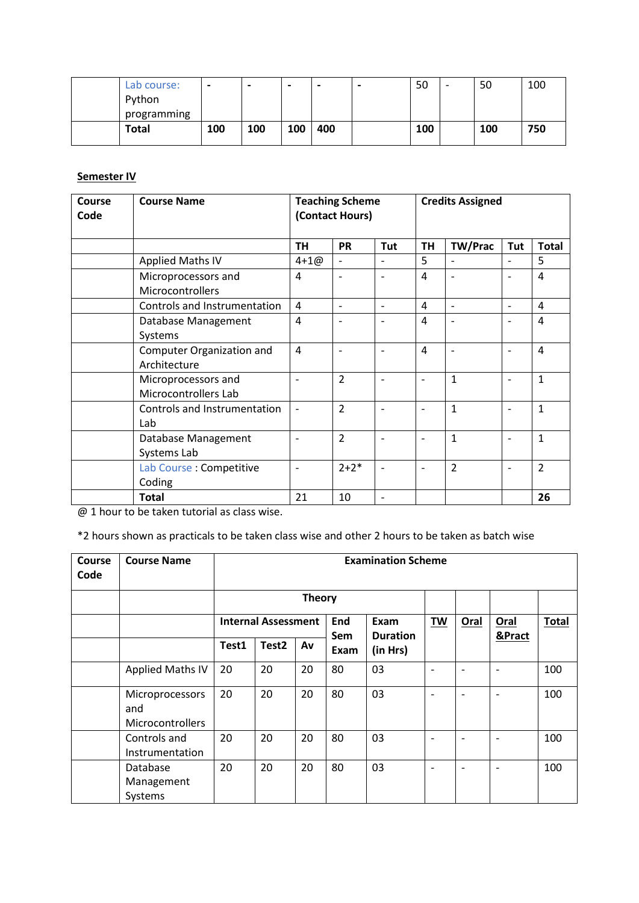| Lab course: | $\overline{\phantom{0}}$ | $\,$ | -   | $\overline{\phantom{0}}$ | $\overline{\phantom{0}}$ | 50  | 50  | 100 |
|-------------|--------------------------|------|-----|--------------------------|--------------------------|-----|-----|-----|
| Python      |                          |      |     |                          |                          |     |     |     |
| programming |                          |      |     |                          |                          |     |     |     |
| Total       | 100                      | 100  | 100 | 400                      |                          | 100 | 100 | 750 |
|             |                          |      |     |                          |                          |     |     |     |

## **Semester IV**

| Course<br>Code | <b>Course Name</b>                          | <b>Teaching Scheme</b><br>(Contact Hours) |                          |                          | <b>Credits Assigned</b>  |                |                |                |  |
|----------------|---------------------------------------------|-------------------------------------------|--------------------------|--------------------------|--------------------------|----------------|----------------|----------------|--|
|                |                                             | <b>TH</b>                                 | <b>PR</b>                | Tut                      | <b>TH</b>                | <b>TW/Prac</b> | Tut            | <b>Total</b>   |  |
|                | Applied Maths IV                            | $4 + 100$                                 | $\overline{\phantom{0}}$ | L,                       | 5                        |                | $\overline{a}$ | 5              |  |
|                | Microprocessors and<br>Microcontrollers     | 4                                         | $\overline{\phantom{0}}$ | $\qquad \qquad -$        | 4                        | $\overline{a}$ | ۰              | 4              |  |
|                | Controls and Instrumentation                | 4                                         | $\overline{a}$           | $\overline{a}$           | 4                        | $\overline{a}$ | L,             | 4              |  |
|                | Database Management<br>Systems              | 4                                         |                          | $\overline{\phantom{0}}$ | 4                        |                | ۰              | $\overline{4}$ |  |
|                | Computer Organization and<br>Architecture   | $\overline{4}$                            |                          | $\qquad \qquad$          | 4                        |                | ۰              | $\overline{4}$ |  |
|                | Microprocessors and<br>Microcontrollers Lab |                                           | $\overline{2}$           | $\qquad \qquad$          | $\overline{\phantom{0}}$ | 1              | ۰              | $\mathbf{1}$   |  |
|                | Controls and Instrumentation<br>Lab         |                                           | $\overline{2}$           | $\overline{a}$           |                          | $\mathbf{1}$   | ۰              | $\mathbf{1}$   |  |
|                | Database Management<br>Systems Lab          |                                           | $\overline{2}$           | $\overline{\phantom{0}}$ | ۰                        | $\mathbf{1}$   | L,             | $\mathbf{1}$   |  |
|                | Lab Course : Competitive<br>Coding          |                                           | $2 + 2*$                 | $\overline{a}$           | ۰                        | $\overline{2}$ | ۰              | $\overline{2}$ |  |
|                | <b>Total</b>                                | 21                                        | 10                       | $\overline{\phantom{0}}$ |                          |                |                | 26             |  |

@ 1 hour to be taken tutorial as class wise.

\*2 hours shown as practicals to be taken class wise and other 2 hours to be taken as batch wise

| <b>Course</b><br>Code | <b>Course Name</b>                         |       | <b>Examination Scheme</b>                                                  |               |      |          |   |                          |                          |              |  |
|-----------------------|--------------------------------------------|-------|----------------------------------------------------------------------------|---------------|------|----------|---|--------------------------|--------------------------|--------------|--|
|                       |                                            |       |                                                                            | <b>Theory</b> |      |          |   |                          |                          |              |  |
|                       |                                            |       | <b>Internal Assessment</b><br>End<br>Exam<br><b>Duration</b><br><b>Sem</b> |               |      |          |   | Oral                     | Oral                     | <b>Total</b> |  |
|                       |                                            | Test1 | Test <sub>2</sub>                                                          | Av            | Exam | (in Hrs) |   |                          | &Pract                   |              |  |
|                       | <b>Applied Maths IV</b>                    | 20    | 20                                                                         | 20            | 80   | 03       | ۰ |                          | $\overline{\phantom{a}}$ | 100          |  |
|                       | Microprocessors<br>and<br>Microcontrollers | 20    | 20                                                                         | 20            | 80   | 03       | ۰ |                          | $\overline{\phantom{a}}$ | 100          |  |
|                       | Controls and<br>Instrumentation            | 20    | 20                                                                         | 20            | 80   | 03       |   |                          |                          | 100          |  |
|                       | Database<br>Management<br>Systems          | 20    | 20                                                                         | 20            | 80   | 03       | ۰ | $\overline{\phantom{0}}$ | $\overline{\phantom{a}}$ | 100          |  |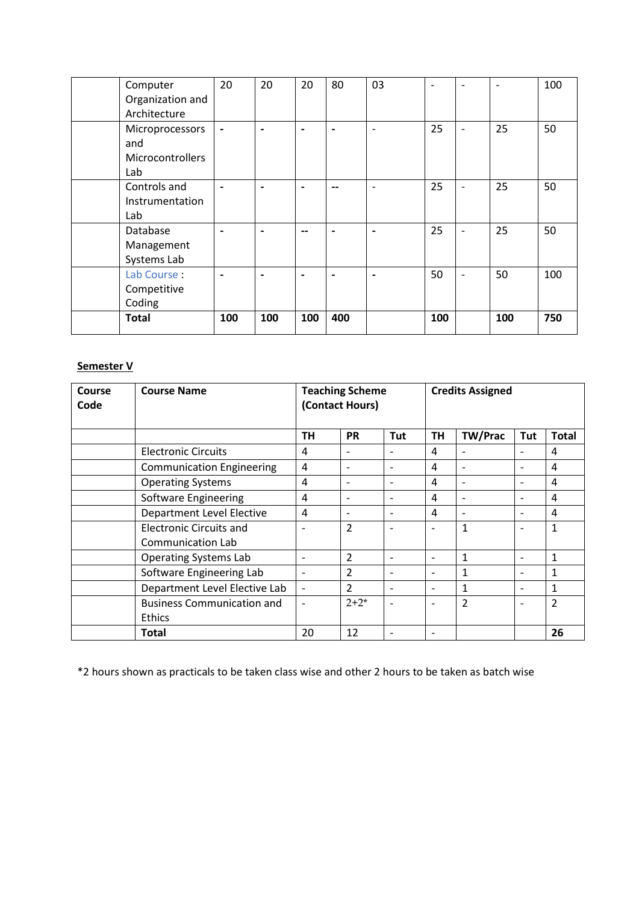| Computer                | 20  | 20                       | 20             | 80                       | 03                       | $\overline{\phantom{0}}$ | $\overline{\phantom{0}}$     | $\overline{\phantom{0}}$ | 100 |
|-------------------------|-----|--------------------------|----------------|--------------------------|--------------------------|--------------------------|------------------------------|--------------------------|-----|
| Organization and        |     |                          |                |                          |                          |                          |                              |                          |     |
| Architecture            |     |                          |                |                          |                          |                          |                              |                          |     |
| Microprocessors         |     | $\overline{\phantom{0}}$ | $\blacksquare$ | $\overline{\phantom{0}}$ | $\overline{\phantom{a}}$ | 25                       | $\overline{\phantom{0}}$     | 25                       | 50  |
| and                     |     |                          |                |                          |                          |                          |                              |                          |     |
| <b>Microcontrollers</b> |     |                          |                |                          |                          |                          |                              |                          |     |
| Lab                     |     |                          |                |                          |                          |                          |                              |                          |     |
| Controls and            |     |                          |                |                          | $\overline{\phantom{0}}$ | 25                       | $\qquad \qquad \blacksquare$ | 25                       | 50  |
| Instrumentation         |     |                          |                |                          |                          |                          |                              |                          |     |
| Lab                     |     |                          |                |                          |                          |                          |                              |                          |     |
| Database                |     |                          | --             |                          | $\overline{\phantom{0}}$ | 25                       |                              | 25                       | 50  |
| Management              |     |                          |                |                          |                          |                          |                              |                          |     |
| Systems Lab             |     |                          |                |                          |                          |                          |                              |                          |     |
| Lab Course:             |     |                          |                |                          |                          | 50                       | $\overline{\phantom{0}}$     | 50                       | 100 |
| Competitive             |     |                          |                |                          |                          |                          |                              |                          |     |
| Coding                  |     |                          |                |                          |                          |                          |                              |                          |     |
| <b>Total</b>            | 100 | 100                      | 100            | 400                      |                          | 100                      |                              | 100                      | 750 |
|                         |     |                          |                |                          |                          |                          |                              |                          |     |

# **Semester V**

| Course<br>Code | <b>Course Name</b>                | <b>Teaching Scheme</b><br>(Contact Hours) |                              |                          | <b>Credits Assigned</b>  |                          |                          |                |  |
|----------------|-----------------------------------|-------------------------------------------|------------------------------|--------------------------|--------------------------|--------------------------|--------------------------|----------------|--|
|                |                                   | <b>TH</b>                                 | <b>PR</b>                    | Tut                      | <b>TH</b>                | <b>TW/Prac</b>           | Tut                      | <b>Total</b>   |  |
|                | <b>Electronic Circuits</b>        | 4                                         | $\overline{\phantom{a}}$     | ۰                        | 4                        |                          | ۰                        | 4              |  |
|                | <b>Communication Engineering</b>  | 4                                         | $\overline{\phantom{a}}$     | $\qquad \qquad$          | 4                        | $\overline{\phantom{0}}$ | ۰                        | 4              |  |
|                | <b>Operating Systems</b>          | 4                                         | $\overline{\phantom{a}}$     | ٠                        | 4                        |                          | ٠                        | 4              |  |
|                | Software Engineering              | 4                                         | $\qquad \qquad \blacksquare$ |                          | 4                        |                          |                          | 4              |  |
|                | <b>Department Level Elective</b>  | 4                                         | $\overline{\phantom{a}}$     | $\qquad \qquad$          | 4                        |                          | ٠                        | 4              |  |
|                | <b>Electronic Circuits and</b>    | ۰                                         | $\overline{2}$               |                          |                          | $\mathbf{1}$             | ٠                        | $\mathbf{1}$   |  |
|                | Communication Lab                 |                                           |                              |                          |                          |                          |                          |                |  |
|                | <b>Operating Systems Lab</b>      | $\overline{\phantom{0}}$                  | $\overline{2}$               | $\overline{a}$           | $\overline{\phantom{0}}$ | $\mathbf{1}$             | ۰                        | $\mathbf{1}$   |  |
|                | Software Engineering Lab          | $\overline{\phantom{a}}$                  | $\overline{2}$               | ٠                        |                          | 1                        | $\overline{\phantom{0}}$ | 1              |  |
|                | Department Level Elective Lab     | $\overline{\phantom{a}}$                  | $\overline{2}$               | $\qquad \qquad$          | $\overline{\phantom{0}}$ | $\mathbf{1}$             | ۰                        | $\mathbf{1}$   |  |
|                | <b>Business Communication and</b> |                                           | $2 + 2^*$                    |                          |                          | 2                        |                          | $\overline{2}$ |  |
|                | <b>Ethics</b>                     |                                           |                              |                          |                          |                          |                          |                |  |
|                | <b>Total</b>                      | 20                                        | 12                           | $\overline{\phantom{0}}$ | ۰                        |                          |                          | 26             |  |

\*2 hours shown as practicals to be taken class wise and other 2 hours to be taken as batch wise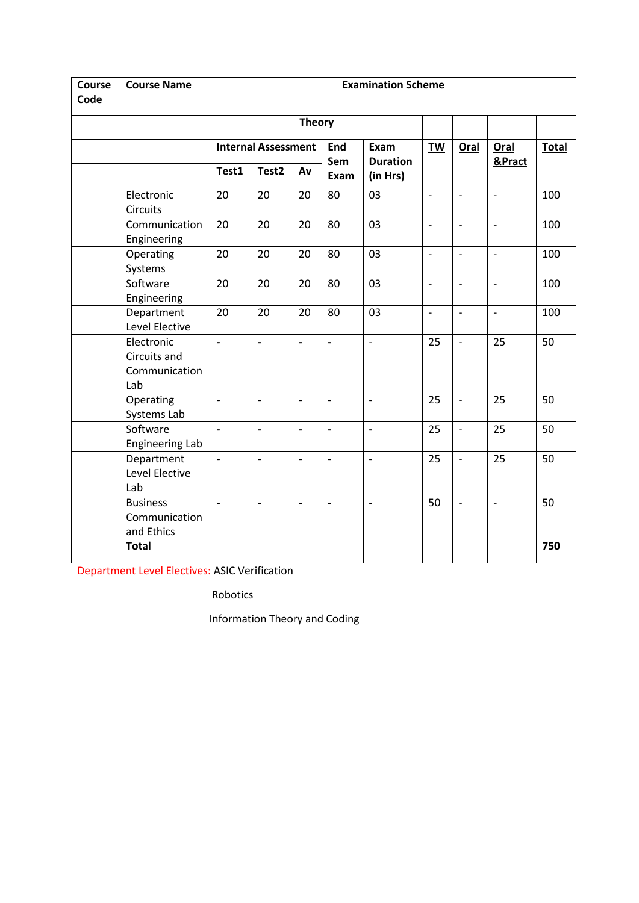| <b>Course</b><br>Code | <b>Course Name</b>                                 |                          | <b>Examination Scheme</b>  |                          |                          |                          |                |                          |                          |              |  |
|-----------------------|----------------------------------------------------|--------------------------|----------------------------|--------------------------|--------------------------|--------------------------|----------------|--------------------------|--------------------------|--------------|--|
|                       |                                                    |                          |                            | <b>Theory</b>            |                          |                          |                |                          |                          |              |  |
|                       |                                                    |                          | <b>Internal Assessment</b> |                          | End<br>Sem               | Exam<br><b>Duration</b>  | <b>TW</b>      | Oral                     | Oral<br>&Pract           | <b>Total</b> |  |
|                       |                                                    | Test1                    | Test <sub>2</sub>          | Av                       | Exam                     | (in Hrs)                 |                |                          |                          |              |  |
|                       | Electronic<br><b>Circuits</b>                      | 20                       | 20                         | 20                       | 80                       | 03                       | $\overline{a}$ | $\overline{\phantom{a}}$ | $\overline{\phantom{a}}$ | 100          |  |
|                       | Communication<br>Engineering                       | 20                       | $20\,$                     | 20                       | 80                       | 03                       | $\overline{a}$ | $\overline{a}$           | $\overline{\phantom{0}}$ | 100          |  |
|                       | Operating<br>Systems                               | 20                       | 20                         | 20                       | 80                       | 03                       | $\overline{a}$ | $\overline{\phantom{a}}$ | $\overline{\phantom{a}}$ | 100          |  |
|                       | Software<br>Engineering                            | 20                       | 20                         | 20                       | 80                       | 03                       | $\overline{a}$ | $\overline{a}$           | $\overline{\phantom{0}}$ | 100          |  |
|                       | Department<br>Level Elective                       | 20                       | 20                         | 20                       | 80                       | 03                       | $\overline{a}$ | $\overline{a}$           | $\overline{\phantom{a}}$ | 100          |  |
|                       | Electronic<br>Circuits and<br>Communication<br>Lab | $\overline{a}$           | $\overline{a}$             | $\overline{a}$           | $\overline{a}$           | $\overline{a}$           | 25             | $\overline{\phantom{a}}$ | 25                       | 50           |  |
|                       | Operating<br>Systems Lab                           | $\blacksquare$           | $\overline{a}$             | $\overline{a}$           | $\overline{a}$           | $\overline{a}$           | 25             | $\overline{\phantom{a}}$ | 25                       | 50           |  |
|                       | Software<br>Engineering Lab                        | $\overline{a}$           | $\overline{a}$             | $\overline{a}$           | $\overline{\phantom{a}}$ | $\overline{\phantom{a}}$ | 25             | $\overline{a}$           | 25                       | 50           |  |
|                       | Department<br>Level Elective<br>Lab                | $\overline{\phantom{a}}$ | $\overline{a}$             | $\overline{a}$           | $\overline{\phantom{a}}$ | $\overline{a}$           | 25             | $\overline{\phantom{a}}$ | 25                       | 50           |  |
|                       | <b>Business</b><br>Communication<br>and Ethics     |                          | $\overline{a}$             | $\overline{\phantom{a}}$ | $\overline{\phantom{a}}$ | $\overline{\phantom{a}}$ | 50             | $\overline{\phantom{a}}$ | $\overline{a}$           | 50           |  |
|                       | <b>Total</b>                                       |                          |                            |                          |                          |                          |                |                          |                          | 750          |  |

Department Level Electives: ASIC Verification

Robotics

Information Theory and Coding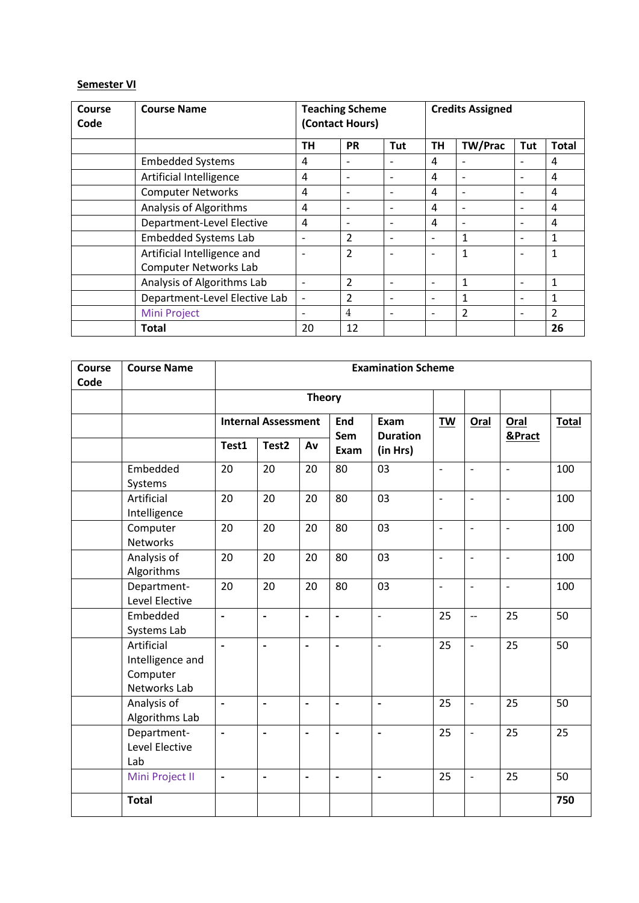### **Semester VI**

| Course<br>Code | <b>Course Name</b>            | <b>Teaching Scheme</b><br>(Contact Hours) |                          |                          | <b>Credits Assigned</b>  |                |                          |                |  |
|----------------|-------------------------------|-------------------------------------------|--------------------------|--------------------------|--------------------------|----------------|--------------------------|----------------|--|
|                |                               | <b>TH</b>                                 | <b>PR</b>                | Tut                      | <b>TH</b>                | <b>TW/Prac</b> | Tut                      | <b>Total</b>   |  |
|                | <b>Embedded Systems</b>       | 4                                         |                          |                          | 4                        |                |                          | 4              |  |
|                | Artificial Intelligence       | 4                                         | $\overline{\phantom{a}}$ | $\overline{\phantom{0}}$ | 4                        |                | $\overline{\phantom{0}}$ | 4              |  |
|                | <b>Computer Networks</b>      | 4                                         | $\overline{\phantom{a}}$ | $\overline{\phantom{0}}$ | 4                        |                | $\overline{\phantom{a}}$ | 4              |  |
|                | <b>Analysis of Algorithms</b> | 4                                         | $\overline{\phantom{a}}$ | $\overline{\phantom{0}}$ | 4                        |                | $\overline{\phantom{0}}$ | 4              |  |
|                | Department-Level Elective     | 4                                         | $\overline{\phantom{a}}$ | $\overline{\phantom{0}}$ | 4                        |                | ۰                        | 4              |  |
|                | <b>Embedded Systems Lab</b>   | $\overline{\phantom{a}}$                  | $\overline{2}$           | $\overline{\phantom{0}}$ | $\overline{\phantom{a}}$ | 1              | $\overline{a}$           | 1              |  |
|                | Artificial Intelligence and   |                                           | $\overline{2}$           | $\overline{\phantom{0}}$ | ۰                        | 1              | $\overline{\phantom{a}}$ | 1              |  |
|                | <b>Computer Networks Lab</b>  |                                           |                          |                          |                          |                |                          |                |  |
|                | Analysis of Algorithms Lab    |                                           | $\overline{2}$           | $\overline{\phantom{0}}$ | ۰                        | 1              | $\overline{\phantom{a}}$ | 1              |  |
|                | Department-Level Elective Lab | $\overline{\phantom{a}}$                  | $\overline{2}$           | $\overline{\phantom{0}}$ | ۰                        | 1              | $\overline{\phantom{0}}$ | 1              |  |
|                | Mini Project                  | $\overline{\phantom{0}}$                  | $\overline{4}$           | $\overline{\phantom{0}}$ | $\overline{\phantom{a}}$ | 2              | $\overline{\phantom{a}}$ | $\overline{2}$ |  |
|                | Total                         | 20                                        | 12                       |                          |                          |                |                          | 26             |  |

| Course | <b>Course Name</b>                                         | <b>Examination Scheme</b> |                              |                              |                              |                          |                          |                          |                          |              |
|--------|------------------------------------------------------------|---------------------------|------------------------------|------------------------------|------------------------------|--------------------------|--------------------------|--------------------------|--------------------------|--------------|
| Code   |                                                            |                           |                              |                              |                              |                          |                          |                          |                          |              |
|        |                                                            |                           |                              | <b>Theory</b>                |                              |                          |                          |                          |                          |              |
|        |                                                            |                           | <b>Internal Assessment</b>   |                              | <b>End</b>                   | Exam<br><b>Duration</b>  | TW                       | Oral                     | Oral<br>&Pract           | <b>Total</b> |
|        |                                                            | Test1                     | Test <sub>2</sub>            | Av                           | Sem<br>Exam                  | (in Hrs)                 |                          |                          |                          |              |
|        | Embedded<br>Systems                                        | 20                        | 20                           | 20                           | 80                           | 03                       | $\overline{a}$           | $\overline{\phantom{m}}$ | $\overline{\phantom{0}}$ | 100          |
|        | Artificial<br>Intelligence                                 | 20                        | 20                           | 20                           | 80                           | 03                       | $\overline{a}$           | $\overline{\phantom{a}}$ | $\overline{a}$           | 100          |
|        | Computer<br><b>Networks</b>                                | 20                        | 20                           | 20                           | 80                           | 03                       | $\overline{a}$           | $\blacksquare$           | $\overline{a}$           | 100          |
|        | Analysis of<br>Algorithms                                  | 20                        | 20                           | 20                           | 80                           | 03                       | $\overline{\phantom{m}}$ | $\overline{\phantom{a}}$ | $\overline{\phantom{a}}$ | 100          |
|        | Department-<br>Level Elective                              | 20                        | 20                           | 20                           | 80                           | 03                       | $\overline{a}$           | $\overline{\phantom{a}}$ | $\overline{a}$           | 100          |
|        | Embedded<br>Systems Lab                                    | $\overline{\phantom{a}}$  | $\qquad \qquad \blacksquare$ | $\qquad \qquad \blacksquare$ | $\qquad \qquad \blacksquare$ | $\overline{\phantom{0}}$ | 25                       | $\overline{\phantom{a}}$ | 25                       | 50           |
|        | Artificial<br>Intelligence and<br>Computer<br>Networks Lab | $\blacksquare$            | $\overline{\phantom{a}}$     | $\overline{\phantom{a}}$     | $\overline{\phantom{a}}$     | $\overline{a}$           | 25                       | $\overline{\phantom{a}}$ | 25                       | 50           |
|        | Analysis of<br>Algorithms Lab                              | $\blacksquare$            | $\blacksquare$               | $\overline{a}$               | $\blacksquare$               | $\blacksquare$           | 25                       | $\overline{\phantom{a}}$ | 25                       | 50           |
|        | Department-<br>Level Elective<br>Lab                       | $\overline{a}$            | $\overline{a}$               | $\overline{a}$               | $\overline{a}$               | $\overline{a}$           | 25                       | $\overline{\phantom{0}}$ | 25                       | 25           |
|        | Mini Project II                                            | $\overline{\phantom{a}}$  | $\blacksquare$               | $\blacksquare$               | $\overline{\phantom{a}}$     | $\overline{\phantom{a}}$ | 25                       | $\overline{\phantom{a}}$ | 25                       | 50           |
|        | <b>Total</b>                                               |                           |                              |                              |                              |                          |                          |                          |                          | 750          |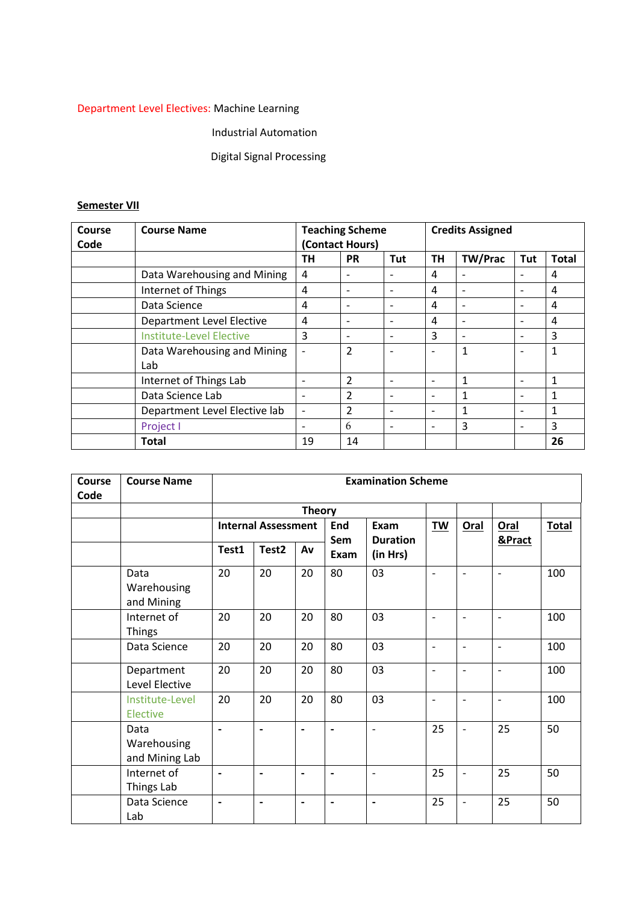# Department Level Electives: Machine Learning

# Industrial Automation

# Digital Signal Processing

## **Semester VII**

| Course | <b>Course Name</b>               |                          | <b>Teaching Scheme</b> |                          | <b>Credits Assigned</b> |                |                          |                |  |
|--------|----------------------------------|--------------------------|------------------------|--------------------------|-------------------------|----------------|--------------------------|----------------|--|
| Code   |                                  |                          | (Contact Hours)        |                          |                         |                |                          |                |  |
|        |                                  | <b>TH</b>                | <b>PR</b>              | <b>Tut</b>               | <b>TH</b>               | <b>TW/Prac</b> | Tut                      | <b>Total</b>   |  |
|        | Data Warehousing and Mining      | 4                        | $\qquad \qquad$        |                          | 4                       |                |                          | 4              |  |
|        | Internet of Things               | 4                        | $\qquad \qquad$        | $\overline{\phantom{0}}$ | 4                       |                | $\overline{\phantom{a}}$ | $\overline{4}$ |  |
|        | Data Science                     | 4                        | $\qquad \qquad$        | $\overline{\phantom{0}}$ | 4                       |                |                          | $\overline{4}$ |  |
|        | <b>Department Level Elective</b> | 4                        | $\qquad \qquad$        | $\overline{\phantom{0}}$ | 4                       |                | $\overline{\phantom{0}}$ | 4              |  |
|        | Institute-Level Elective         | 3                        | $\qquad \qquad$        | $\overline{\phantom{a}}$ | 3                       |                | $\overline{\phantom{0}}$ | 3              |  |
|        | Data Warehousing and Mining      |                          | $\overline{2}$         | $\overline{\phantom{a}}$ |                         | 1              | $\overline{\phantom{0}}$ | 1              |  |
|        | Lab                              |                          |                        |                          |                         |                |                          |                |  |
|        | Internet of Things Lab           |                          | $\overline{2}$         |                          |                         | 1              |                          | 1              |  |
|        | Data Science Lab                 |                          | $\overline{2}$         |                          |                         |                |                          | 1              |  |
|        | Department Level Elective lab    | $\overline{\phantom{a}}$ | $\overline{2}$         |                          |                         |                |                          | 1              |  |
|        | Project I                        |                          | 6                      |                          |                         | 3              |                          | 3              |  |
|        | <b>Total</b>                     | 19                       | 14                     |                          |                         |                |                          | 26             |  |

| Course<br>Code | <b>Course Name</b>                    | <b>Examination Scheme</b> |                              |                              |                              |                                     |                          |                          |                          |              |  |
|----------------|---------------------------------------|---------------------------|------------------------------|------------------------------|------------------------------|-------------------------------------|--------------------------|--------------------------|--------------------------|--------------|--|
|                |                                       | <b>Theory</b>             |                              |                              |                              |                                     |                          |                          |                          |              |  |
|                |                                       |                           | <b>Internal Assessment</b>   |                              | End<br>Sem                   | Exam<br><b>Duration</b><br>(in Hrs) | <b>TW</b>                | <b>Oral</b>              | <b>Oral</b><br>&Pract    | <b>Total</b> |  |
|                |                                       | Test1                     | Test <sub>2</sub>            | Av                           | Exam                         |                                     |                          |                          |                          |              |  |
|                | Data<br>Warehousing<br>and Mining     | 20                        | 20                           | 20                           | 80                           | 03                                  | $\overline{\phantom{0}}$ | $\blacksquare$           | $\overline{\phantom{a}}$ | 100          |  |
|                | Internet of<br><b>Things</b>          | 20                        | 20                           | 20                           | 80                           | 03                                  | $\overline{\phantom{0}}$ | $\overline{\phantom{a}}$ | $\blacksquare$           | 100          |  |
|                | Data Science                          | 20                        | 20                           | 20                           | 80                           | 03                                  | $\overline{\phantom{a}}$ | $\overline{\phantom{a}}$ | $\overline{\phantom{a}}$ | 100          |  |
|                | Department<br>Level Elective          | 20                        | 20                           | 20                           | 80                           | 03                                  | $\qquad \qquad -$        | $\overline{\phantom{a}}$ | $\overline{\phantom{a}}$ | 100          |  |
|                | Institute-Level<br>Elective           | 20                        | 20                           | 20                           | 80                           | 03                                  | $\qquad \qquad -$        | $\overline{\phantom{a}}$ | $\overline{\phantom{a}}$ | 100          |  |
|                | Data<br>Warehousing<br>and Mining Lab | $\overline{\phantom{a}}$  | $\overline{\phantom{a}}$     | $\overline{\phantom{a}}$     | $\overline{\phantom{0}}$     | $\overline{\phantom{a}}$            | 25                       | $\overline{\phantom{a}}$ | 25                       | 50           |  |
|                | Internet of<br>Things Lab             |                           |                              |                              |                              | $\overline{\phantom{a}}$            | 25                       | $\overline{a}$           | 25                       | 50           |  |
|                | Data Science<br>Lab                   | $\overline{\phantom{a}}$  | $\qquad \qquad \blacksquare$ | $\qquad \qquad \blacksquare$ | $\qquad \qquad \blacksquare$ | $\qquad \qquad \blacksquare$        | 25                       | $\overline{a}$           | 25                       | 50           |  |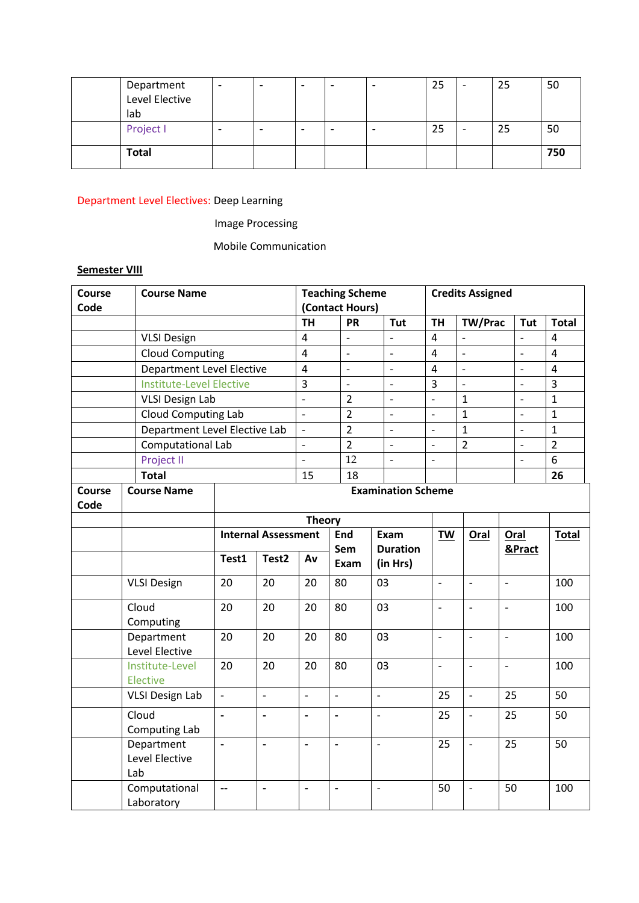| Department<br>Level Elective<br>lab | $\overline{\phantom{0}}$ | $\blacksquare$ | $\overline{\phantom{0}}$ | $\overline{\phantom{0}}$ | 25 | $\overline{\phantom{0}}$ | 25 | 50  |
|-------------------------------------|--------------------------|----------------|--------------------------|--------------------------|----|--------------------------|----|-----|
| Project I                           |                          |                | $\overline{\phantom{0}}$ |                          | 25 | $\overline{\phantom{0}}$ | 25 | 50  |
| <b>Total</b>                        |                          |                |                          |                          |    |                          |    | 750 |

Department Level Electives: Deep Learning

Image Processing

Mobile Communication

# **Semester VIII**

| Course                | <b>Course Name</b>                  |                           |                            |                          | <b>Teaching Scheme</b>       |                             | <b>Credits Assigned</b>  |                          |                          |                          |                |
|-----------------------|-------------------------------------|---------------------------|----------------------------|--------------------------|------------------------------|-----------------------------|--------------------------|--------------------------|--------------------------|--------------------------|----------------|
| Code                  |                                     |                           |                            | (Contact Hours)          |                              |                             |                          |                          |                          |                          |                |
|                       |                                     |                           |                            | <b>TH</b>                | <b>PR</b>                    | Tut                         | <b>TH</b>                | TW/Prac                  |                          | Tut                      | <b>Total</b>   |
|                       | <b>VLSI Design</b>                  |                           |                            | $\overline{4}$           | $\overline{\phantom{a}}$     | $\overline{a}$              | $\overline{4}$           | $\overline{a}$           |                          | $\overline{a}$           | 4              |
|                       | <b>Cloud Computing</b>              |                           |                            | $\overline{4}$           | $\overline{a}$               | $\overline{\phantom{a}}$    | $\overline{4}$           | $\overline{\phantom{a}}$ |                          | $\overline{a}$           | $\overline{4}$ |
|                       | Department Level Elective           |                           |                            |                          | $\overline{a}$               | $\overline{a}$              | $\overline{4}$           | $\overline{a}$           |                          | $\overline{a}$           | 4              |
|                       | <b>Institute-Level Elective</b>     |                           |                            |                          | $\overline{\phantom{a}}$     | $\overline{\phantom{a}}$    | $\overline{3}$           | $\overline{\phantom{a}}$ |                          | $\qquad \qquad -$        | 3              |
|                       | <b>VLSI Design Lab</b>              |                           |                            | $\overline{a}$           | $\overline{2}$               | $\overline{\phantom{m}}$    | $\overline{\phantom{0}}$ | $\mathbf{1}$             |                          | $\frac{1}{2}$            | $\mathbf{1}$   |
|                       | Cloud Computing Lab                 |                           |                            | $\overline{a}$           | $\overline{2}$               | $\overline{\phantom{0}}$    | $\overline{\phantom{0}}$ | $\mathbf{1}$             |                          | $\overline{a}$           | $\mathbf{1}$   |
|                       | Department Level Elective Lab       |                           |                            | $\overline{a}$           | $\overline{2}$               | $\overline{\phantom{a}}$    | $\overline{a}$           | $\overline{1}$           |                          | $\overline{\phantom{m}}$ | $\mathbf{1}$   |
|                       | Computational Lab                   |                           |                            | $\overline{a}$           | $\overline{2}$               | $\overline{a}$              | $\overline{a}$           | $\overline{2}$           |                          | $\overline{a}$           | $\overline{2}$ |
|                       | Project II                          |                           |                            | $\overline{\phantom{0}}$ | 12                           | $\overline{\phantom{0}}$    | $\overline{a}$           |                          |                          | $\overline{\phantom{0}}$ | 6              |
|                       | <b>Total</b>                        |                           |                            | 15                       | 18                           |                             |                          |                          |                          |                          | 26             |
| <b>Course</b><br>Code | <b>Course Name</b>                  | <b>Examination Scheme</b> |                            |                          |                              |                             |                          |                          |                          |                          |                |
|                       |                                     |                           |                            | <b>Theory</b>            |                              |                             |                          |                          |                          |                          |                |
|                       |                                     |                           | <b>Internal Assessment</b> |                          | <b>End</b><br>Exam           |                             | TW                       | Oral                     | Oral                     |                          | <b>Total</b>   |
|                       |                                     | Test1                     | Test <sub>2</sub>          | Av                       | Sem<br>Exam                  | <b>Duration</b><br>(in Hrs) |                          |                          | &Pract                   |                          |                |
|                       | <b>VLSI Design</b>                  | 20                        | 20                         | 20                       | 80                           | 03                          | $\overline{\phantom{a}}$ | $\overline{\phantom{a}}$ | $\overline{\phantom{a}}$ |                          | 100            |
|                       | Cloud<br>Computing                  | 20                        | 20                         | 20                       | 80                           | 03                          | $\overline{a}$           | $\blacksquare$           | $\overline{\phantom{m}}$ |                          | 100            |
|                       | Department<br>Level Elective        | 20<br>20<br>20<br>20      |                            | 20                       | 80                           | 03                          | $\overline{\phantom{a}}$ | $\blacksquare$           | $\overline{\phantom{a}}$ |                          | 100            |
|                       | Institute-Level<br>Elective         |                           |                            | 20                       | 80                           | 03                          | $\overline{a}$           | $\frac{1}{2}$            | $\frac{1}{2}$            |                          | 100            |
|                       | <b>VLSI Design Lab</b>              | $\overline{a}$            | $\overline{\phantom{a}}$   | $\Box$                   | $\overline{\phantom{0}}$     | $\frac{1}{2}$               | 25                       | $\overline{\phantom{a}}$ | 25                       |                          | 50             |
|                       | Cloud<br>Computing Lab              | $\blacksquare$            | $\blacksquare$             | $\blacksquare$           | $\overline{a}$               | $\overline{\phantom{0}}$    | 25                       | $\frac{1}{2}$            | 25                       |                          | 50             |
|                       | Department<br>Level Elective<br>Lab | $\overline{\phantom{a}}$  | $\overline{\phantom{a}}$   | $\overline{\phantom{a}}$ | $\overline{\phantom{a}}$     | $\overline{\phantom{a}}$    | 25                       | $\overline{\phantom{a}}$ | 25                       |                          | 50             |
|                       | Computational<br>Laboratory         | --                        | $\overline{\phantom{a}}$   | $\blacksquare$           | $\qquad \qquad \blacksquare$ | $\overline{\phantom{m}}$    | 50                       | $\overline{\phantom{a}}$ | 50                       |                          | 100            |